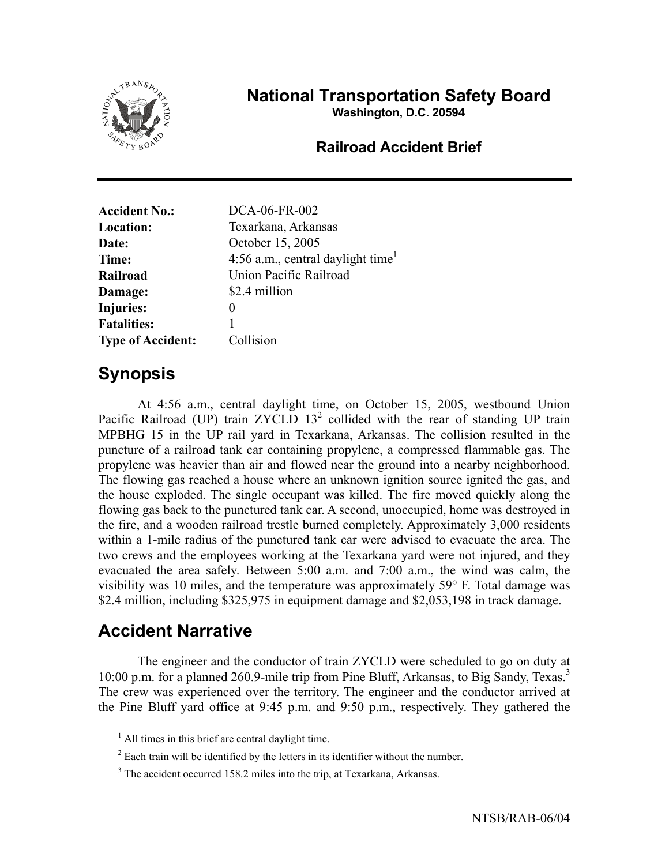

# **National Transportation Safety Board**

**Washington, D.C. 20594** 

#### **Railroad Accident Brief**

| <b>Accident No.:</b>     | DCA-06-FR-002                                 |
|--------------------------|-----------------------------------------------|
| <b>Location:</b>         | Texarkana, Arkansas                           |
| Date:                    | October 15, 2005                              |
| Time:                    | 4:56 a.m., central daylight time <sup>1</sup> |
| <b>Railroad</b>          | Union Pacific Railroad                        |
| Damage:                  | \$2.4 million                                 |
| <b>Injuries:</b>         | $_{0}$                                        |
| <b>Fatalities:</b>       |                                               |
| <b>Type of Accident:</b> | Collision                                     |

# **Synopsis**

At 4:56 a.m., central daylight time, on October 15, 2005, westbound Union Pacific Railroad (UP) train  $ZYCLD$  13<sup>2</sup> collided with the rear of standing UP train MPBHG 15 in the UP rail yard in Texarkana, Arkansas. The collision resulted in the puncture of a railroad tank car containing propylene, a compressed flammable gas. The propylene was heavier than air and flowed near the ground into a nearby neighborhood. The flowing gas reached a house where an unknown ignition source ignited the gas, and the house exploded. The single occupant was killed. The fire moved quickly along the flowing gas back to the punctured tank car. A second, unoccupied, home was destroyed in the fire, and a wooden railroad trestle burned completely. Approximately 3,000 residents within a 1-mile radius of the punctured tank car were advised to evacuate the area. The two crews and the employees working at the Texarkana yard were not injured, and they evacuated the area safely. Between 5:00 a.m. and 7:00 a.m., the wind was calm, the visibility was 10 miles, and the temperature was approximately 59° F. Total damage was \$2.4 million, including \$325,975 in equipment damage and \$2,053,198 in track damage.

# **Accident Narrative**

The engineer and the conductor of train ZYCLD were scheduled to go on duty at 10:00 p.m. for a planned 260.9-mile trip from Pine Bluff, Arkansas, to Big Sandy, Texas.<sup>3</sup> The crew was experienced over the territory. The engineer and the conductor arrived at the Pine Bluff yard office at 9:45 p.m. and 9:50 p.m., respectively. They gathered the

 $\frac{1}{1}$  $<sup>1</sup>$  All times in this brief are central daylight time.</sup>

 $2^{2}$  Each train will be identified by the letters in its identifier without the number.

<sup>&</sup>lt;sup>3</sup> The accident occurred 158.2 miles into the trip, at Texarkana, Arkansas.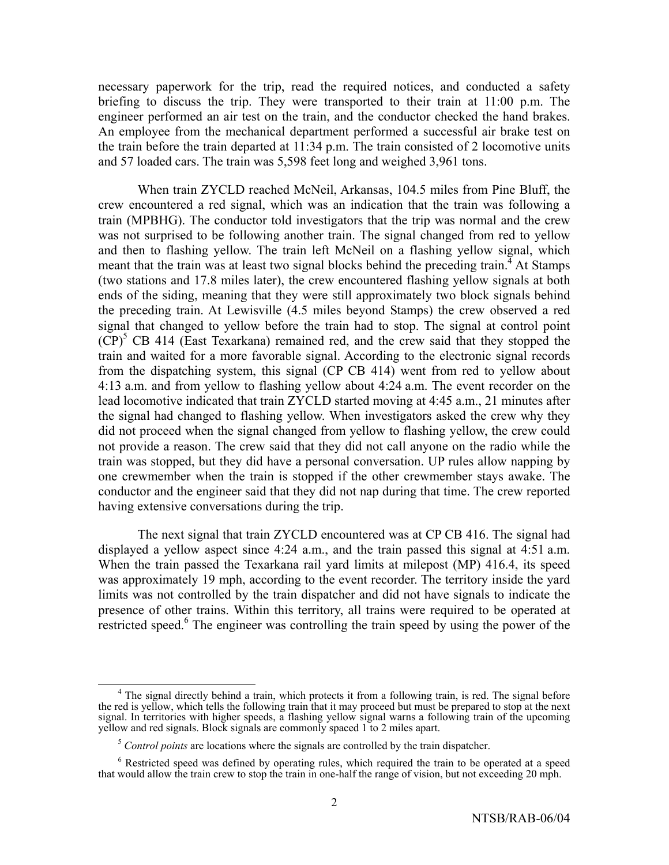necessary paperwork for the trip, read the required notices, and conducted a safety briefing to discuss the trip. They were transported to their train at 11:00 p.m. The engineer performed an air test on the train, and the conductor checked the hand brakes. An employee from the mechanical department performed a successful air brake test on the train before the train departed at 11:34 p.m. The train consisted of 2 locomotive units and 57 loaded cars. The train was 5,598 feet long and weighed 3,961 tons.

When train ZYCLD reached McNeil, Arkansas, 104.5 miles from Pine Bluff, the crew encountered a red signal, which was an indication that the train was following a train (MPBHG). The conductor told investigators that the trip was normal and the crew was not surprised to be following another train. The signal changed from red to yellow and then to flashing yellow. The train left McNeil on a flashing yellow signal, which meant that the train was at least two signal blocks behind the preceding train.<sup> $4$ </sup> At Stamps (two stations and 17.8 miles later), the crew encountered flashing yellow signals at both ends of the siding, meaning that they were still approximately two block signals behind the preceding train. At Lewisville (4.5 miles beyond Stamps) the crew observed a red signal that changed to yellow before the train had to stop. The signal at control point (CP)<sup>5</sup> CB 414 (East Texarkana) remained red, and the crew said that they stopped the train and waited for a more favorable signal. According to the electronic signal records from the dispatching system, this signal (CP CB 414) went from red to yellow about 4:13 a.m. and from yellow to flashing yellow about 4:24 a.m. The event recorder on the lead locomotive indicated that train ZYCLD started moving at 4:45 a.m., 21 minutes after the signal had changed to flashing yellow. When investigators asked the crew why they did not proceed when the signal changed from yellow to flashing yellow, the crew could not provide a reason. The crew said that they did not call anyone on the radio while the train was stopped, but they did have a personal conversation. UP rules allow napping by one crewmember when the train is stopped if the other crewmember stays awake. The conductor and the engineer said that they did not nap during that time. The crew reported having extensive conversations during the trip.

The next signal that train ZYCLD encountered was at CP CB 416. The signal had displayed a yellow aspect since 4:24 a.m., and the train passed this signal at 4:51 a.m. When the train passed the Texarkana rail yard limits at milepost (MP) 416.4, its speed was approximately 19 mph, according to the event recorder. The territory inside the yard limits was not controlled by the train dispatcher and did not have signals to indicate the presence of other trains. Within this territory, all trains were required to be operated at restricted speed.<sup>6</sup> The engineer was controlling the train speed by using the power of the

 $\overline{4}$  $4$  The signal directly behind a train, which protects it from a following train, is red. The signal before the red is yellow, which tells the following train that it may proceed but must be prepared to stop at the next signal. In territories with higher speeds, a flashing yellow signal warns a following train of the upcoming yellow and red signals. Block signals are commonly spaced 1 to 2 miles apart.

<sup>&</sup>lt;sup>5</sup> *Control points* are locations where the signals are controlled by the train dispatcher.

<sup>&</sup>lt;sup>6</sup> Restricted speed was defined by operating rules, which required the train to be operated at a speed that would allow the train crew to stop the train in one-half the range of vision, but not exceeding 20 mph.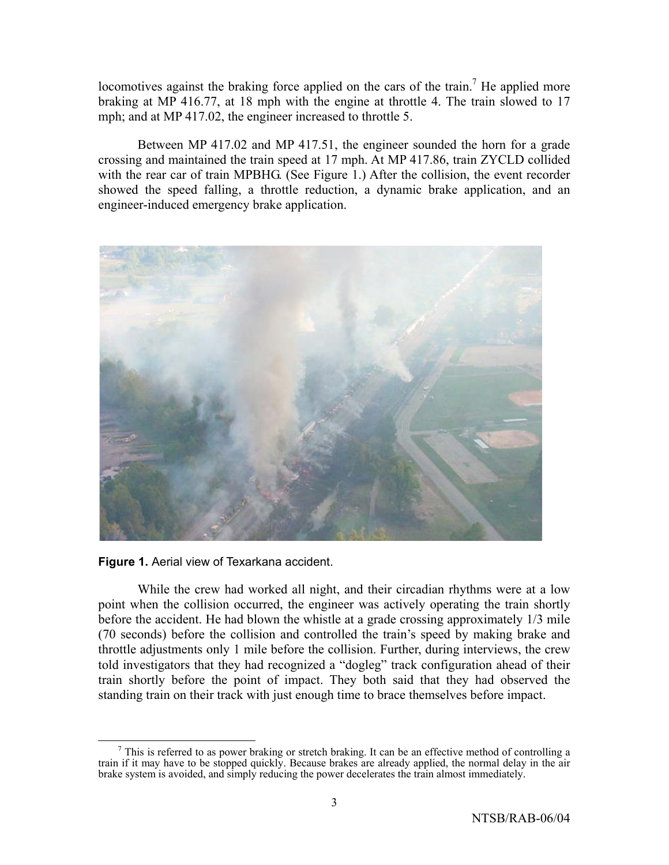locomotives against the braking force applied on the cars of the train.<sup>7</sup> He applied more braking at MP 416.77, at 18 mph with the engine at throttle 4. The train slowed to 17 mph; and at MP 417.02, the engineer increased to throttle 5.

Between MP 417.02 and MP 417.51, the engineer sounded the horn for a grade crossing and maintained the train speed at 17 mph. At MP 417.86, train ZYCLD collided with the rear car of train MPBHG. (See Figure 1.) After the collision, the event recorder showed the speed falling, a throttle reduction, a dynamic brake application, and an engineer-induced emergency brake application.



**Figure 1.** Aerial view of Texarkana accident.

While the crew had worked all night, and their circadian rhythms were at a low point when the collision occurred, the engineer was actively operating the train shortly before the accident. He had blown the whistle at a grade crossing approximately 1/3 mile (70 seconds) before the collision and controlled the train's speed by making brake and throttle adjustments only 1 mile before the collision. Further, during interviews, the crew told investigators that they had recognized a "dogleg" track configuration ahead of their train shortly before the point of impact. They both said that they had observed the standing train on their track with just enough time to brace themselves before impact.

<sup>&</sup>lt;sup>7</sup> This is referred to as power braking or stretch braking. It can be an effective method of controlling a train if it may have to be stopped quickly. Because brakes are already applied, the normal delay in the air brake system is avoided, and simply reducing the power decelerates the train almost immediately.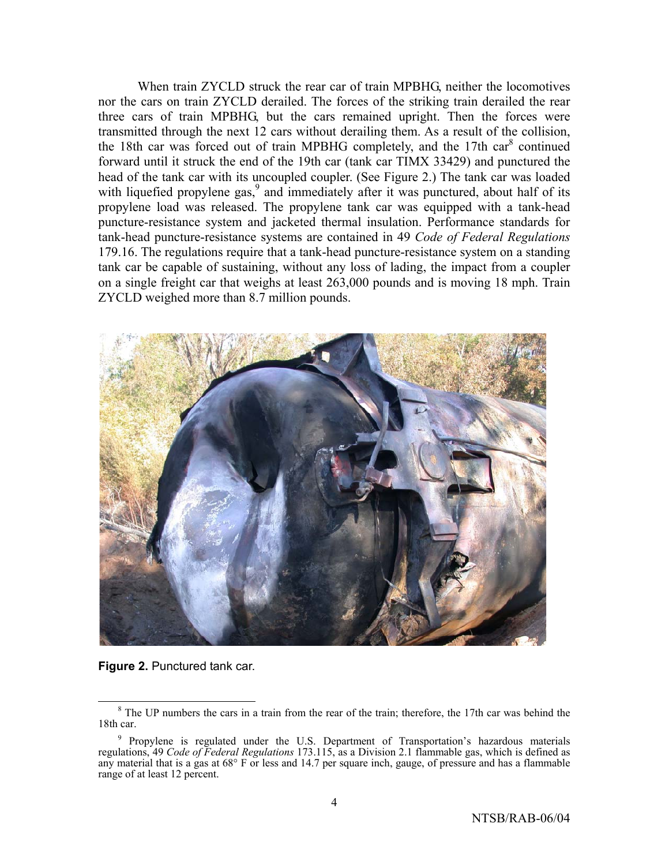When train ZYCLD struck the rear car of train MPBHG, neither the locomotives nor the cars on train ZYCLD derailed. The forces of the striking train derailed the rear three cars of train MPBHG, but the cars remained upright. Then the forces were transmitted through the next 12 cars without derailing them. As a result of the collision, the 18th car was forced out of train MPBHG completely, and the 17th car<sup>8</sup> continued forward until it struck the end of the 19th car (tank car TIMX 33429) and punctured the head of the tank car with its uncoupled coupler. (See Figure 2.) The tank car was loaded with liquefied propylene gas,<sup>9</sup> and immediately after it was punctured, about half of its propylene load was released. The propylene tank car was equipped with a tank-head puncture-resistance system and jacketed thermal insulation. Performance standards for tank-head puncture-resistance systems are contained in 49 *Code of Federal Regulations* 179.16. The regulations require that a tank-head puncture-resistance system on a standing tank car be capable of sustaining, without any loss of lading, the impact from a coupler on a single freight car that weighs at least 263,000 pounds and is moving 18 mph. Train ZYCLD weighed more than 8.7 million pounds.



**Figure 2.** Punctured tank car.

 <sup>8</sup>  $8$  The UP numbers the cars in a train from the rear of the train; therefore, the 17th car was behind the 18th car.

<sup>&</sup>lt;sup>9</sup> Propylene is regulated under the U.S. Department of Transportation's hazardous materials regulations, 49 *Code of Federal Regulations* 173.115, as a Division 2.1 flammable gas, which is defined as any material that is a gas at 68° F or less and 14.7 per square inch, gauge, of pressure and has a flammable range of at least 12 percent.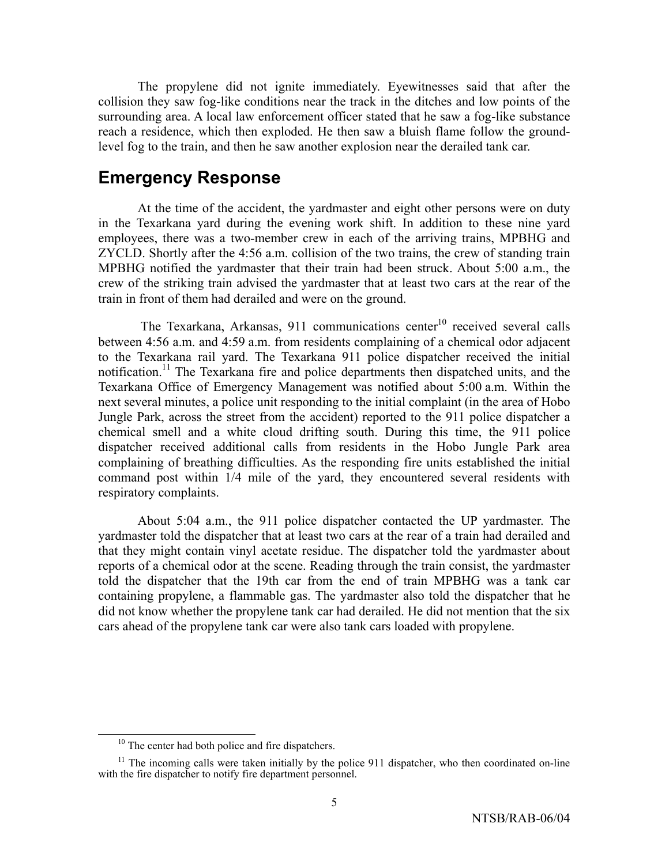The propylene did not ignite immediately. Eyewitnesses said that after the collision they saw fog-like conditions near the track in the ditches and low points of the surrounding area. A local law enforcement officer stated that he saw a fog-like substance reach a residence, which then exploded. He then saw a bluish flame follow the groundlevel fog to the train, and then he saw another explosion near the derailed tank car.

## **Emergency Response**

At the time of the accident, the yardmaster and eight other persons were on duty in the Texarkana yard during the evening work shift. In addition to these nine yard employees, there was a two-member crew in each of the arriving trains, MPBHG and ZYCLD. Shortly after the 4:56 a.m. collision of the two trains, the crew of standing train MPBHG notified the yardmaster that their train had been struck. About 5:00 a.m., the crew of the striking train advised the yardmaster that at least two cars at the rear of the train in front of them had derailed and were on the ground.

The Texarkana, Arkansas, 911 communications center<sup>10</sup> received several calls between 4:56 a.m. and 4:59 a.m. from residents complaining of a chemical odor adjacent to the Texarkana rail yard. The Texarkana 911 police dispatcher received the initial notification.<sup>11</sup> The Texarkana fire and police departments then dispatched units, and the Texarkana Office of Emergency Management was notified about 5:00 a.m. Within the next several minutes, a police unit responding to the initial complaint (in the area of Hobo Jungle Park, across the street from the accident) reported to the 911 police dispatcher a chemical smell and a white cloud drifting south. During this time, the 911 police dispatcher received additional calls from residents in the Hobo Jungle Park area complaining of breathing difficulties. As the responding fire units established the initial command post within 1/4 mile of the yard, they encountered several residents with respiratory complaints.

About 5:04 a.m., the 911 police dispatcher contacted the UP yardmaster. The yardmaster told the dispatcher that at least two cars at the rear of a train had derailed and that they might contain vinyl acetate residue. The dispatcher told the yardmaster about reports of a chemical odor at the scene. Reading through the train consist, the yardmaster told the dispatcher that the 19th car from the end of train MPBHG was a tank car containing propylene, a flammable gas. The yardmaster also told the dispatcher that he did not know whether the propylene tank car had derailed. He did not mention that the six cars ahead of the propylene tank car were also tank cars loaded with propylene.

<sup>&</sup>lt;sup>10</sup> The center had both police and fire dispatchers.

 $11$  The incoming calls were taken initially by the police 911 dispatcher, who then coordinated on-line with the fire dispatcher to notify fire department personnel.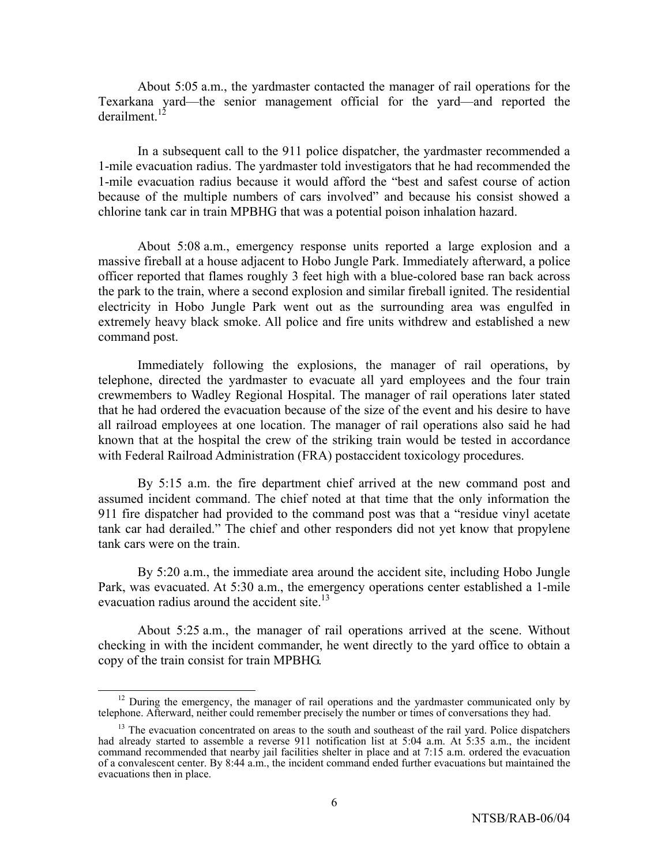About 5:05 a.m., the yardmaster contacted the manager of rail operations for the Texarkana yard—the senior management official for the yard—and reported the derailment.<sup>12</sup>

In a subsequent call to the 911 police dispatcher, the yardmaster recommended a 1-mile evacuation radius. The yardmaster told investigators that he had recommended the 1-mile evacuation radius because it would afford the "best and safest course of action because of the multiple numbers of cars involved" and because his consist showed a chlorine tank car in train MPBHG that was a potential poison inhalation hazard.

About 5:08 a.m., emergency response units reported a large explosion and a massive fireball at a house adjacent to Hobo Jungle Park. Immediately afterward, a police officer reported that flames roughly 3 feet high with a blue-colored base ran back across the park to the train, where a second explosion and similar fireball ignited. The residential electricity in Hobo Jungle Park went out as the surrounding area was engulfed in extremely heavy black smoke. All police and fire units withdrew and established a new command post.

Immediately following the explosions, the manager of rail operations, by telephone, directed the yardmaster to evacuate all yard employees and the four train crewmembers to Wadley Regional Hospital. The manager of rail operations later stated that he had ordered the evacuation because of the size of the event and his desire to have all railroad employees at one location. The manager of rail operations also said he had known that at the hospital the crew of the striking train would be tested in accordance with Federal Railroad Administration (FRA) postaccident toxicology procedures.

By 5:15 a.m. the fire department chief arrived at the new command post and assumed incident command. The chief noted at that time that the only information the 911 fire dispatcher had provided to the command post was that a "residue vinyl acetate tank car had derailed." The chief and other responders did not yet know that propylene tank cars were on the train.

By 5:20 a.m., the immediate area around the accident site, including Hobo Jungle Park, was evacuated. At 5:30 a.m., the emergency operations center established a 1-mile evacuation radius around the accident site.<sup>13</sup>

About 5:25 a.m., the manager of rail operations arrived at the scene. Without checking in with the incident commander, he went directly to the yard office to obtain a copy of the train consist for train MPBHG.

 $12$  During the emergency, the manager of rail operations and the yardmaster communicated only by telephone. Afterward, neither could remember precisely the number or times of conversations they had.

<sup>&</sup>lt;sup>13</sup> The evacuation concentrated on areas to the south and southeast of the rail yard. Police dispatchers had already started to assemble a reverse 911 notification list at 5:04 a.m. At 5:35 a.m., the incident command recommended that nearby jail facilities shelter in place and at 7:15 a.m. ordered the evacuation of a convalescent center. By 8:44 a.m., the incident command ended further evacuations but maintained the evacuations then in place.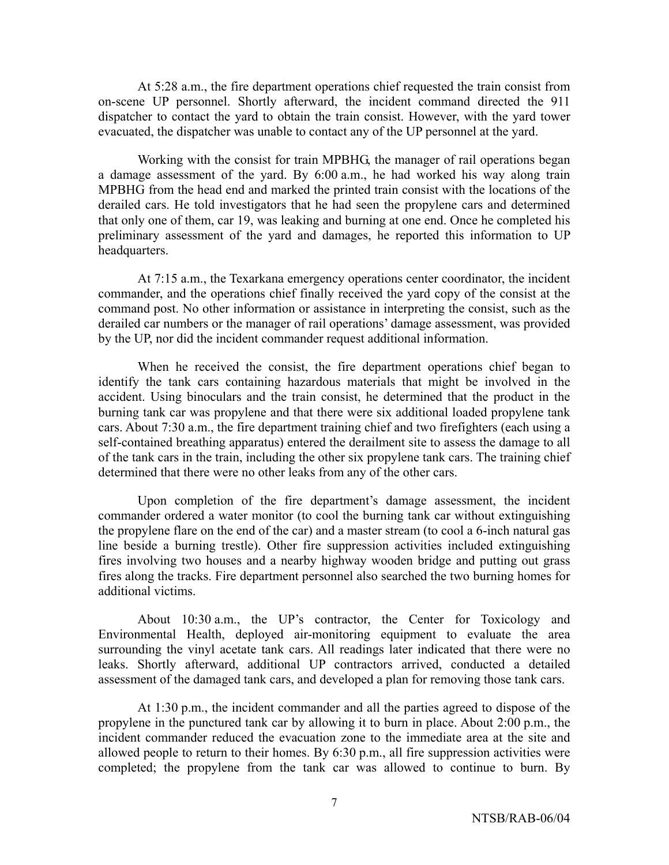At 5:28 a.m., the fire department operations chief requested the train consist from on-scene UP personnel. Shortly afterward, the incident command directed the 911 dispatcher to contact the yard to obtain the train consist. However, with the yard tower evacuated, the dispatcher was unable to contact any of the UP personnel at the yard.

Working with the consist for train MPBHG, the manager of rail operations began a damage assessment of the yard. By 6:00 a.m., he had worked his way along train MPBHG from the head end and marked the printed train consist with the locations of the derailed cars. He told investigators that he had seen the propylene cars and determined that only one of them, car 19, was leaking and burning at one end. Once he completed his preliminary assessment of the yard and damages, he reported this information to UP headquarters.

At 7:15 a.m., the Texarkana emergency operations center coordinator, the incident commander, and the operations chief finally received the yard copy of the consist at the command post. No other information or assistance in interpreting the consist, such as the derailed car numbers or the manager of rail operations' damage assessment, was provided by the UP, nor did the incident commander request additional information.

When he received the consist, the fire department operations chief began to identify the tank cars containing hazardous materials that might be involved in the accident. Using binoculars and the train consist, he determined that the product in the burning tank car was propylene and that there were six additional loaded propylene tank cars. About 7:30 a.m., the fire department training chief and two firefighters (each using a self-contained breathing apparatus) entered the derailment site to assess the damage to all of the tank cars in the train, including the other six propylene tank cars. The training chief determined that there were no other leaks from any of the other cars.

Upon completion of the fire department's damage assessment, the incident commander ordered a water monitor (to cool the burning tank car without extinguishing the propylene flare on the end of the car) and a master stream (to cool a 6-inch natural gas line beside a burning trestle). Other fire suppression activities included extinguishing fires involving two houses and a nearby highway wooden bridge and putting out grass fires along the tracks. Fire department personnel also searched the two burning homes for additional victims.

About 10:30 a.m., the UP's contractor, the Center for Toxicology and Environmental Health, deployed air-monitoring equipment to evaluate the area surrounding the vinyl acetate tank cars. All readings later indicated that there were no leaks. Shortly afterward, additional UP contractors arrived, conducted a detailed assessment of the damaged tank cars, and developed a plan for removing those tank cars.

At 1:30 p.m., the incident commander and all the parties agreed to dispose of the propylene in the punctured tank car by allowing it to burn in place. About 2:00 p.m., the incident commander reduced the evacuation zone to the immediate area at the site and allowed people to return to their homes. By 6:30 p.m., all fire suppression activities were completed; the propylene from the tank car was allowed to continue to burn. By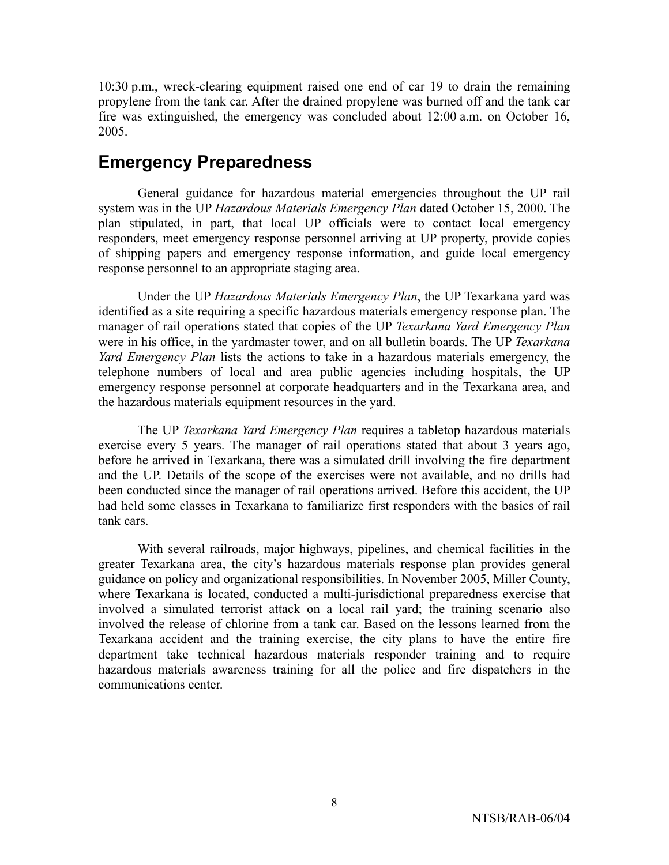10:30 p.m., wreck-clearing equipment raised one end of car 19 to drain the remaining propylene from the tank car. After the drained propylene was burned off and the tank car fire was extinguished, the emergency was concluded about 12:00 a.m. on October 16, 2005.

## **Emergency Preparedness**

General guidance for hazardous material emergencies throughout the UP rail system was in the UP *Hazardous Materials Emergency Plan* dated October 15, 2000. The plan stipulated, in part, that local UP officials were to contact local emergency responders, meet emergency response personnel arriving at UP property, provide copies of shipping papers and emergency response information, and guide local emergency response personnel to an appropriate staging area.

Under the UP *Hazardous Materials Emergency Plan*, the UP Texarkana yard was identified as a site requiring a specific hazardous materials emergency response plan. The manager of rail operations stated that copies of the UP *Texarkana Yard Emergency Plan* were in his office, in the yardmaster tower, and on all bulletin boards. The UP *Texarkana Yard Emergency Plan* lists the actions to take in a hazardous materials emergency, the telephone numbers of local and area public agencies including hospitals, the UP emergency response personnel at corporate headquarters and in the Texarkana area, and the hazardous materials equipment resources in the yard.

The UP *Texarkana Yard Emergency Plan* requires a tabletop hazardous materials exercise every 5 years. The manager of rail operations stated that about 3 years ago, before he arrived in Texarkana, there was a simulated drill involving the fire department and the UP. Details of the scope of the exercises were not available, and no drills had been conducted since the manager of rail operations arrived. Before this accident, the UP had held some classes in Texarkana to familiarize first responders with the basics of rail tank cars.

With several railroads, major highways, pipelines, and chemical facilities in the greater Texarkana area, the city's hazardous materials response plan provides general guidance on policy and organizational responsibilities. In November 2005, Miller County, where Texarkana is located, conducted a multi-jurisdictional preparedness exercise that involved a simulated terrorist attack on a local rail yard; the training scenario also involved the release of chlorine from a tank car. Based on the lessons learned from the Texarkana accident and the training exercise, the city plans to have the entire fire department take technical hazardous materials responder training and to require hazardous materials awareness training for all the police and fire dispatchers in the communications center.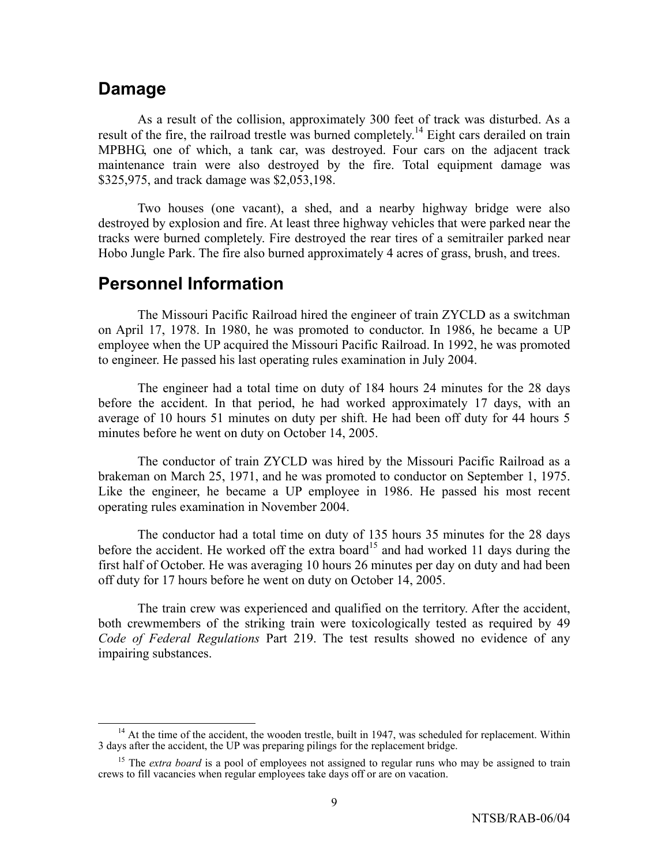### **Damage**

As a result of the collision, approximately 300 feet of track was disturbed. As a result of the fire, the railroad trestle was burned completely.<sup>14</sup> Eight cars derailed on train MPBHG, one of which, a tank car, was destroyed. Four cars on the adjacent track maintenance train were also destroyed by the fire. Total equipment damage was \$325,975, and track damage was \$2,053,198.

Two houses (one vacant), a shed, and a nearby highway bridge were also destroyed by explosion and fire. At least three highway vehicles that were parked near the tracks were burned completely. Fire destroyed the rear tires of a semitrailer parked near Hobo Jungle Park. The fire also burned approximately 4 acres of grass, brush, and trees.

## **Personnel Information**

The Missouri Pacific Railroad hired the engineer of train ZYCLD as a switchman on April 17, 1978. In 1980, he was promoted to conductor. In 1986, he became a UP employee when the UP acquired the Missouri Pacific Railroad. In 1992, he was promoted to engineer. He passed his last operating rules examination in July 2004.

The engineer had a total time on duty of 184 hours 24 minutes for the 28 days before the accident. In that period, he had worked approximately 17 days, with an average of 10 hours 51 minutes on duty per shift. He had been off duty for 44 hours 5 minutes before he went on duty on October 14, 2005.

The conductor of train ZYCLD was hired by the Missouri Pacific Railroad as a brakeman on March 25, 1971, and he was promoted to conductor on September 1, 1975. Like the engineer, he became a UP employee in 1986. He passed his most recent operating rules examination in November 2004.

The conductor had a total time on duty of 135 hours 35 minutes for the 28 days before the accident. He worked off the extra board<sup>15</sup> and had worked 11 days during the first half of October. He was averaging 10 hours 26 minutes per day on duty and had been off duty for 17 hours before he went on duty on October 14, 2005.

The train crew was experienced and qualified on the territory. After the accident, both crewmembers of the striking train were toxicologically tested as required by 49 *Code of Federal Regulations* Part 219. The test results showed no evidence of any impairing substances.

 $14$  At the time of the accident, the wooden trestle, built in 1947, was scheduled for replacement. Within 3 days after the accident, the UP was preparing pilings for the replacement bridge.

<sup>&</sup>lt;sup>15</sup> The *extra board* is a pool of employees not assigned to regular runs who may be assigned to train crews to fill vacancies when regular employees take days off or are on vacation.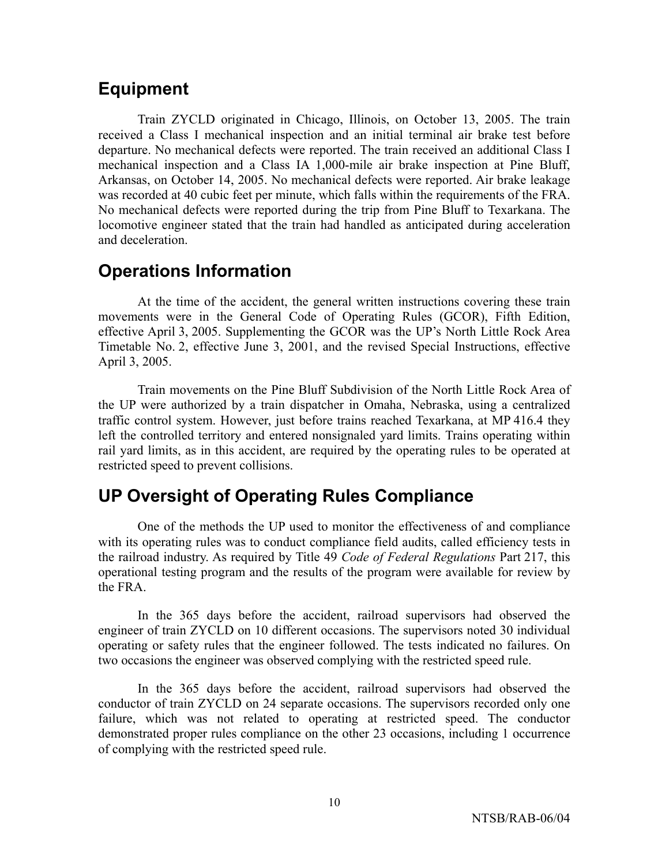## **Equipment**

Train ZYCLD originated in Chicago, Illinois, on October 13, 2005. The train received a Class I mechanical inspection and an initial terminal air brake test before departure. No mechanical defects were reported. The train received an additional Class I mechanical inspection and a Class IA 1,000-mile air brake inspection at Pine Bluff, Arkansas, on October 14, 2005. No mechanical defects were reported. Air brake leakage was recorded at 40 cubic feet per minute, which falls within the requirements of the FRA. No mechanical defects were reported during the trip from Pine Bluff to Texarkana. The locomotive engineer stated that the train had handled as anticipated during acceleration and deceleration.

## **Operations Information**

At the time of the accident, the general written instructions covering these train movements were in the General Code of Operating Rules (GCOR), Fifth Edition, effective April 3, 2005. Supplementing the GCOR was the UP's North Little Rock Area Timetable No. 2, effective June 3, 2001, and the revised Special Instructions, effective April 3, 2005.

Train movements on the Pine Bluff Subdivision of the North Little Rock Area of the UP were authorized by a train dispatcher in Omaha, Nebraska, using a centralized traffic control system. However, just before trains reached Texarkana, at MP 416.4 they left the controlled territory and entered nonsignaled yard limits. Trains operating within rail yard limits, as in this accident, are required by the operating rules to be operated at restricted speed to prevent collisions.

## **UP Oversight of Operating Rules Compliance**

One of the methods the UP used to monitor the effectiveness of and compliance with its operating rules was to conduct compliance field audits, called efficiency tests in the railroad industry. As required by Title 49 *Code of Federal Regulations* Part 217, this operational testing program and the results of the program were available for review by the FRA.

In the 365 days before the accident, railroad supervisors had observed the engineer of train ZYCLD on 10 different occasions. The supervisors noted 30 individual operating or safety rules that the engineer followed. The tests indicated no failures. On two occasions the engineer was observed complying with the restricted speed rule.

In the 365 days before the accident, railroad supervisors had observed the conductor of train ZYCLD on 24 separate occasions. The supervisors recorded only one failure, which was not related to operating at restricted speed. The conductor demonstrated proper rules compliance on the other 23 occasions, including 1 occurrence of complying with the restricted speed rule.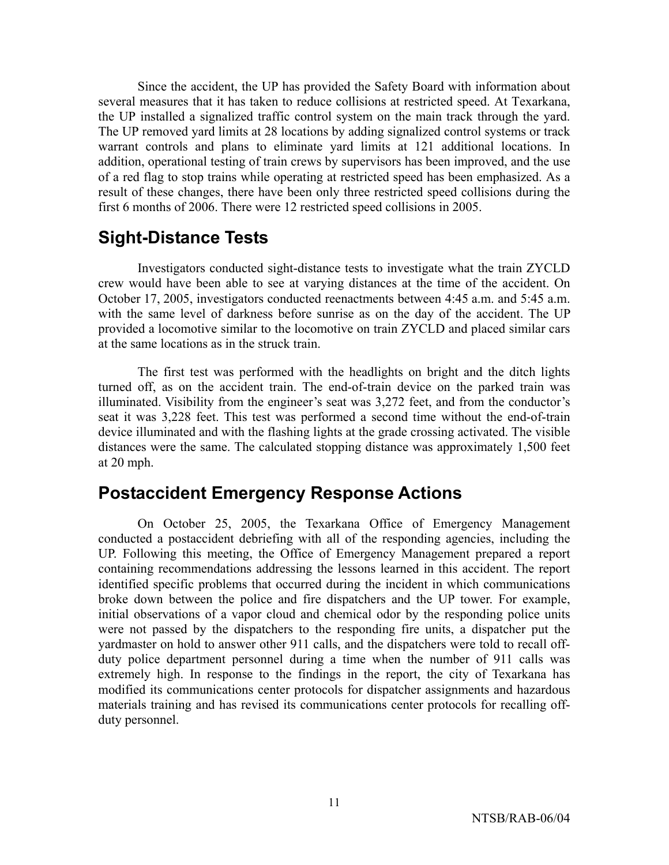Since the accident, the UP has provided the Safety Board with information about several measures that it has taken to reduce collisions at restricted speed. At Texarkana, the UP installed a signalized traffic control system on the main track through the yard. The UP removed yard limits at 28 locations by adding signalized control systems or track warrant controls and plans to eliminate yard limits at 121 additional locations. In addition, operational testing of train crews by supervisors has been improved, and the use of a red flag to stop trains while operating at restricted speed has been emphasized. As a result of these changes, there have been only three restricted speed collisions during the first 6 months of 2006. There were 12 restricted speed collisions in 2005.

## **Sight-Distance Tests**

Investigators conducted sight-distance tests to investigate what the train ZYCLD crew would have been able to see at varying distances at the time of the accident. On October 17, 2005, investigators conducted reenactments between 4:45 a.m. and 5:45 a.m. with the same level of darkness before sunrise as on the day of the accident. The UP provided a locomotive similar to the locomotive on train ZYCLD and placed similar cars at the same locations as in the struck train.

The first test was performed with the headlights on bright and the ditch lights turned off, as on the accident train. The end-of-train device on the parked train was illuminated. Visibility from the engineer's seat was 3,272 feet, and from the conductor's seat it was 3,228 feet. This test was performed a second time without the end-of-train device illuminated and with the flashing lights at the grade crossing activated. The visible distances were the same. The calculated stopping distance was approximately 1,500 feet at 20 mph.

## **Postaccident Emergency Response Actions**

On October 25, 2005, the Texarkana Office of Emergency Management conducted a postaccident debriefing with all of the responding agencies, including the UP. Following this meeting, the Office of Emergency Management prepared a report containing recommendations addressing the lessons learned in this accident. The report identified specific problems that occurred during the incident in which communications broke down between the police and fire dispatchers and the UP tower. For example, initial observations of a vapor cloud and chemical odor by the responding police units were not passed by the dispatchers to the responding fire units, a dispatcher put the yardmaster on hold to answer other 911 calls, and the dispatchers were told to recall offduty police department personnel during a time when the number of 911 calls was extremely high. In response to the findings in the report, the city of Texarkana has modified its communications center protocols for dispatcher assignments and hazardous materials training and has revised its communications center protocols for recalling offduty personnel.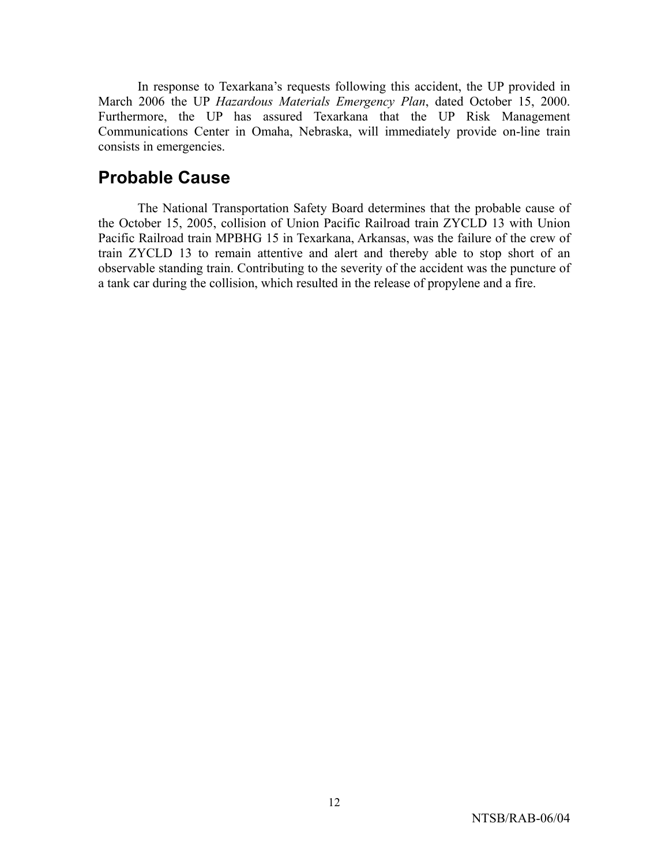In response to Texarkana's requests following this accident, the UP provided in March 2006 the UP *Hazardous Materials Emergency Plan*, dated October 15, 2000. Furthermore, the UP has assured Texarkana that the UP Risk Management Communications Center in Omaha, Nebraska, will immediately provide on-line train consists in emergencies.

## **Probable Cause**

The National Transportation Safety Board determines that the probable cause of the October 15, 2005, collision of Union Pacific Railroad train ZYCLD 13 with Union Pacific Railroad train MPBHG 15 in Texarkana, Arkansas, was the failure of the crew of train ZYCLD 13 to remain attentive and alert and thereby able to stop short of an observable standing train. Contributing to the severity of the accident was the puncture of a tank car during the collision, which resulted in the release of propylene and a fire.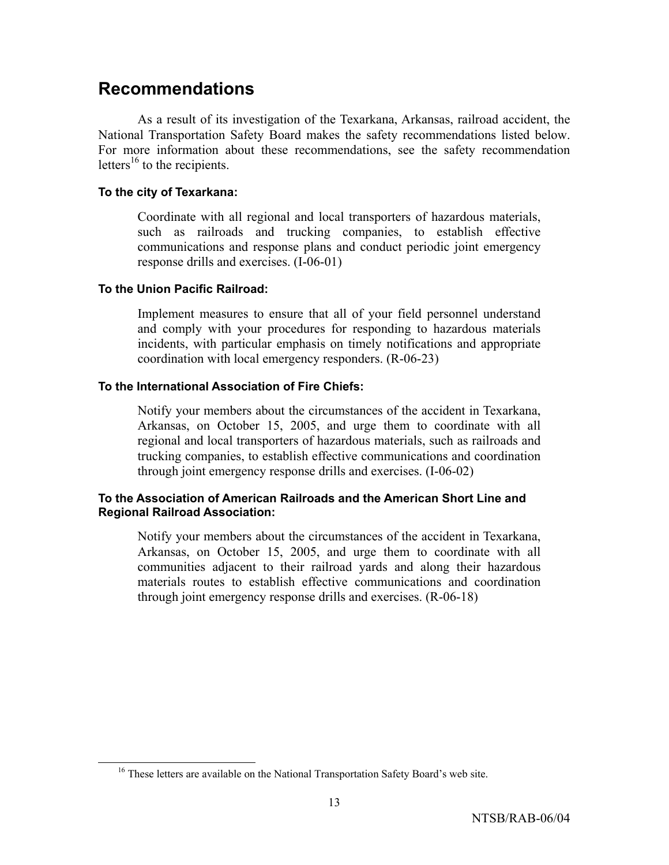## **Recommendations**

As a result of its investigation of the Texarkana, Arkansas, railroad accident, the National Transportation Safety Board makes the safety recommendations listed below. For more information about these recommendations, see the safety recommendation letters<sup>16</sup> to the recipients.

#### **To the city of Texarkana:**

Coordinate with all regional and local transporters of hazardous materials, such as railroads and trucking companies, to establish effective communications and response plans and conduct periodic joint emergency response drills and exercises. (I-06-01)

#### **To the Union Pacific Railroad:**

Implement measures to ensure that all of your field personnel understand and comply with your procedures for responding to hazardous materials incidents, with particular emphasis on timely notifications and appropriate coordination with local emergency responders. (R-06-23)

#### **To the International Association of Fire Chiefs:**

Notify your members about the circumstances of the accident in Texarkana, Arkansas, on October 15, 2005, and urge them to coordinate with all regional and local transporters of hazardous materials, such as railroads and trucking companies, to establish effective communications and coordination through joint emergency response drills and exercises. (I-06-02)

#### **To the Association of American Railroads and the American Short Line and Regional Railroad Association:**

Notify your members about the circumstances of the accident in Texarkana, Arkansas, on October 15, 2005, and urge them to coordinate with all communities adjacent to their railroad yards and along their hazardous materials routes to establish effective communications and coordination through joint emergency response drills and exercises. (R-06-18)

<sup>&</sup>lt;sup>16</sup> These letters are available on the National Transportation Safety Board's web site.